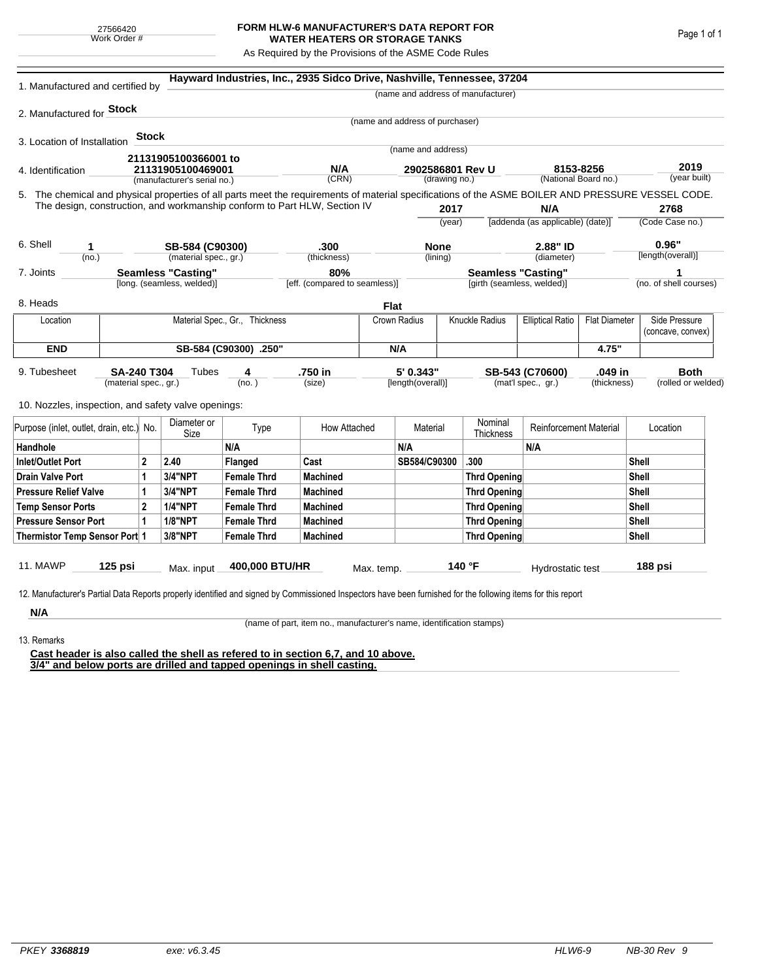## **FORM HLW-6 MANUFACTURER'S DATA REPORT FOR WATER HEATERS OR STORAGE TANKS**

As Required by the Provisions of the ASME Code Rules

| 1. Manufactured and certified by                                                                                                                                          |                                      |                                                                                                                                                                              |                                                  |                                                                           | Hayward Industries, Inc., 2935 Sidco Drive, Nashville, Tennessee, 37204 |            |                                 |          |                                                                 |                                                 |                         |                                   |                                    |
|---------------------------------------------------------------------------------------------------------------------------------------------------------------------------|--------------------------------------|------------------------------------------------------------------------------------------------------------------------------------------------------------------------------|--------------------------------------------------|---------------------------------------------------------------------------|-------------------------------------------------------------------------|------------|---------------------------------|----------|-----------------------------------------------------------------|-------------------------------------------------|-------------------------|-----------------------------------|------------------------------------|
|                                                                                                                                                                           |                                      |                                                                                                                                                                              |                                                  |                                                                           |                                                                         |            |                                 |          | (name and address of manufacturer)                              |                                                 |                         |                                   |                                    |
| 2. Manufactured for Stock                                                                                                                                                 |                                      |                                                                                                                                                                              |                                                  |                                                                           |                                                                         |            |                                 |          |                                                                 |                                                 |                         |                                   |                                    |
|                                                                                                                                                                           |                                      |                                                                                                                                                                              |                                                  |                                                                           |                                                                         |            | (name and address of purchaser) |          |                                                                 |                                                 |                         |                                   |                                    |
| 3. Location of Installation                                                                                                                                               |                                      | Stock                                                                                                                                                                        |                                                  |                                                                           |                                                                         |            |                                 |          |                                                                 |                                                 |                         |                                   |                                    |
|                                                                                                                                                                           |                                      |                                                                                                                                                                              | 21131905100366001 to                             |                                                                           |                                                                         |            | (name and address)              |          |                                                                 |                                                 |                         |                                   |                                    |
| 4. Identification                                                                                                                                                         |                                      |                                                                                                                                                                              | 21131905100469001<br>(manufacturer's serial no.) |                                                                           | N/A                                                                     |            | 2902586801 Rev U                |          |                                                                 | 8153-8256                                       |                         | 2019<br>(year built)              |                                    |
|                                                                                                                                                                           |                                      | (CRN)<br>(drawing no.)<br>5. The chemical and physical properties of all parts meet the requirements of material specifications of the ASME BOILER AND PRESSURE VESSEL CODE. |                                                  |                                                                           | (National Board no.)                                                    |            |                                 |          |                                                                 |                                                 |                         |                                   |                                    |
|                                                                                                                                                                           |                                      |                                                                                                                                                                              |                                                  |                                                                           |                                                                         |            |                                 |          |                                                                 |                                                 |                         |                                   |                                    |
|                                                                                                                                                                           |                                      |                                                                                                                                                                              |                                                  | The design, construction, and workmanship conform to Part HLW, Section IV |                                                                         |            | 2017<br>(year)                  |          | N/A<br>[addenda (as applicable) (date)]                         |                                                 | 2768<br>(Code Case no.) |                                   |                                    |
|                                                                                                                                                                           |                                      |                                                                                                                                                                              |                                                  |                                                                           |                                                                         |            |                                 |          |                                                                 |                                                 |                         |                                   |                                    |
| 6. Shell<br>1                                                                                                                                                             |                                      |                                                                                                                                                                              | SB-584 (C90300)                                  |                                                                           | .300                                                                    |            | <b>None</b>                     |          | 2.88" ID                                                        |                                                 | 0.96"                   |                                   |                                    |
| (no.)                                                                                                                                                                     |                                      |                                                                                                                                                                              | (material spec., gr.)                            |                                                                           | (thickness)                                                             |            |                                 | (lining) |                                                                 | (diameter)                                      |                         |                                   | [length(overall)]                  |
| 7. Joints                                                                                                                                                                 |                                      |                                                                                                                                                                              | <b>Seamless "Casting"</b>                        |                                                                           | 80%<br>[eff. (compared to seamless)]                                    |            |                                 |          | <b>Seamless "Casting"</b>                                       |                                                 |                         |                                   | 1<br>(no. of shell courses)        |
| [long. (seamless, welded)]                                                                                                                                                |                                      |                                                                                                                                                                              |                                                  |                                                                           |                                                                         |            | [girth (seamless, welded)]      |          |                                                                 |                                                 |                         |                                   |                                    |
| 8. Heads                                                                                                                                                                  |                                      |                                                                                                                                                                              |                                                  |                                                                           |                                                                         |            | <b>Flat</b>                     |          |                                                                 |                                                 |                         |                                   |                                    |
| Location                                                                                                                                                                  | Material Spec., Gr., Thickness       |                                                                                                                                                                              |                                                  |                                                                           |                                                                         |            | Crown Radius                    |          | Knuckle Radius                                                  | <b>Flat Diameter</b><br><b>Elliptical Ratio</b> |                         |                                   | Side Pressure<br>(concave, convex) |
| <b>END</b>                                                                                                                                                                |                                      |                                                                                                                                                                              |                                                  | SB-584 (C90300) .250"                                                     |                                                                         | N/A        |                                 |          |                                                                 |                                                 | 4.75"                   |                                   |                                    |
| 9. Tubesheet                                                                                                                                                              | SA-240 T304<br>(material spec., gr.) |                                                                                                                                                                              | Tubes                                            | 4<br>(no. )                                                               | .750 in<br>(size)                                                       |            | 5' 0.343"<br>[length(overall)]  |          | .049 in<br>SB-543 (C70600)<br>(mat'l spec., gr.)<br>(thickness) |                                                 |                         | <b>Both</b><br>(rolled or welded) |                                    |
| 10. Nozzles, inspection, and safety valve openings:                                                                                                                       |                                      |                                                                                                                                                                              |                                                  |                                                                           |                                                                         |            |                                 |          |                                                                 |                                                 |                         |                                   |                                    |
| Purpose (inlet, outlet, drain, etc.) No.                                                                                                                                  |                                      |                                                                                                                                                                              | Diameter or<br>Size                              | Type                                                                      | How Attached                                                            |            | Material                        |          | Nominal<br><b>Thickness</b>                                     | <b>Reinforcement Material</b>                   |                         |                                   | Location                           |
| Handhole                                                                                                                                                                  |                                      |                                                                                                                                                                              |                                                  | N/A                                                                       |                                                                         |            | N/A                             |          |                                                                 | N/A                                             |                         |                                   |                                    |
| $\overline{2}$<br><b>Inlet/Outlet Port</b>                                                                                                                                |                                      |                                                                                                                                                                              | 2.40                                             | Flanged                                                                   | Cast                                                                    |            | SB584/C90300                    |          | .300                                                            |                                                 |                         | Shell                             |                                    |
| Drain Valve Port<br>1                                                                                                                                                     |                                      |                                                                                                                                                                              | 3/4"NPT                                          | <b>Female Thrd</b>                                                        | <b>Machined</b>                                                         |            |                                 |          | Thrd Opening                                                    |                                                 |                         | Shell                             |                                    |
| <b>Pressure Relief Valve</b><br>1                                                                                                                                         |                                      |                                                                                                                                                                              | 3/4"NPT                                          | <b>Female Thrd</b>                                                        | <b>Machined</b>                                                         |            |                                 |          | Thrd Opening                                                    |                                                 | <b>Shell</b>            |                                   |                                    |
| $\overline{2}$<br><b>Temp Sensor Ports</b>                                                                                                                                |                                      |                                                                                                                                                                              | <b>1/4"NPT</b>                                   | <b>Female Thrd</b>                                                        | <b>Machined</b>                                                         |            |                                 |          | Thrd Opening                                                    |                                                 |                         | <b>Shell</b>                      |                                    |
| <b>Pressure Sensor Port</b><br>1                                                                                                                                          |                                      |                                                                                                                                                                              | <b>1/8"NPT</b>                                   | <b>Female Thrd</b>                                                        | <b>Machined</b>                                                         |            |                                 |          | Thrd Opening                                                    |                                                 |                         | <b>Shell</b>                      |                                    |
| Thermistor Temp Sensor Port 1                                                                                                                                             |                                      |                                                                                                                                                                              | 3/8"NPT                                          | <b>Female Thrd</b>                                                        | <b>Machined</b>                                                         |            |                                 |          | Thrd Opening                                                    |                                                 | Shell                   |                                   |                                    |
| 11. MAWP<br>12. Manufacturer's Partial Data Reports properly identified and signed by Commissioned Inspectors have been furnished for the following items for this report | $125$ psi                            |                                                                                                                                                                              | Max. input                                       | 400,000 BTU/HR                                                            |                                                                         | Max. temp. |                                 |          | 140 °F                                                          | Hydrostatic test                                |                         |                                   | 188 psi                            |
| N/A                                                                                                                                                                       |                                      |                                                                                                                                                                              |                                                  |                                                                           |                                                                         |            |                                 |          |                                                                 |                                                 |                         |                                   |                                    |

(name of part, item no., manufacturer's name, identification stamps)

13. Remarks

**Cast header is also called the shell as refered to in section 6,7, and 10 above. 3/4" and below ports are drilled and tapped openings in shell casting.**